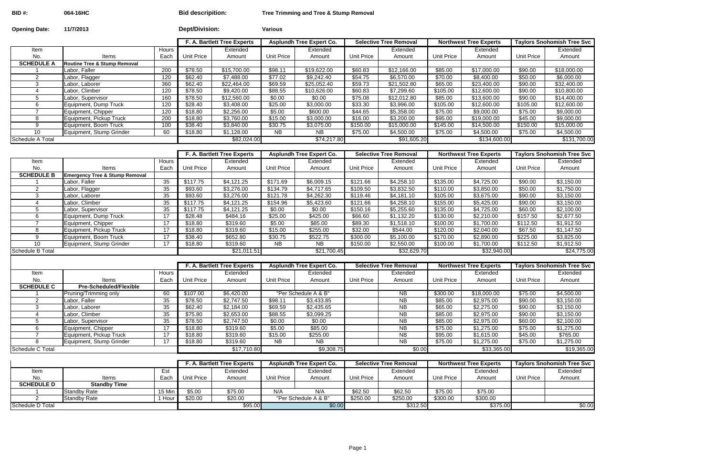**BID #: 064-16HC Bid descripition: Tree Trimming and Tree & Stump Removal**

| <b>Opening Date:</b>     | 11/7/2013                                 |                 | <b>Dept/Division:</b> |                             | <b>Various</b>    |                                 |                   |                               |                   |                               |                   |                                   |
|--------------------------|-------------------------------------------|-----------------|-----------------------|-----------------------------|-------------------|---------------------------------|-------------------|-------------------------------|-------------------|-------------------------------|-------------------|-----------------------------------|
|                          |                                           |                 |                       | F. A. Bartlett Tree Experts |                   | <b>Asplundh Tree Expert Co.</b> |                   | <b>Selective Tree Removal</b> |                   | <b>Northwest Tree Experts</b> |                   | <b>Taylors Snohomish Tree Svc</b> |
| Item                     |                                           | Hours           |                       | Extended                    |                   | Extended                        |                   | Extended                      |                   | Extended                      |                   | Extended                          |
| No.                      | Items                                     | Each            | <b>Unit Price</b>     | Amount                      | <b>Unit Price</b> | Amount                          | <b>Unit Price</b> | Amount                        | <b>Unit Price</b> | Amount                        | <b>Unit Price</b> | Amount                            |
| <b>SCHEDULE A</b>        | <b>Routine Tree &amp; Stump Removal</b>   |                 |                       |                             |                   |                                 |                   |                               |                   |                               |                   |                                   |
|                          | Labor, Faller                             | 200             | \$78.50               | \$15,700.00                 | \$98.11           | \$19,622.00                     | \$60.83           | \$12,166.00                   | \$85.00           | \$17,000.00                   | \$90.00           | \$18,000.00                       |
| $\overline{2}$           | Labor, Flagger                            | 120             | \$62.40               | \$7,488.00                  | \$77.02           | \$9,242.40                      | \$54.75           | \$6,570.00                    | \$70.00           | \$8,400.00                    | \$50.00           | \$6,000.00                        |
| 3                        | abor, Laborer                             | 360             | \$62.40               | \$22,464.00                 | \$69.59           | \$25,052.40                     | \$59.73           | \$21,502.80                   | \$65.00           | \$23,400.00                   | \$90.00           | \$32,400.00                       |
| $\overline{\mathcal{A}}$ | Labor, Climber                            | 120             | \$78.50               | \$9,420.00                  | \$88.55           | \$10,626.00                     | \$60.83           | \$7,299.60                    | \$105.00          | \$12,600.00                   | \$90.00           | \$10,800.00                       |
| 5                        | Labor, Supervisor                         | 160             | \$78.50               | \$12,560.00                 | \$0.00            | \$0.00                          | \$75.08           | \$12,012.80                   | \$85.00           | \$13,600.00                   | \$90.00           | \$14,400.00                       |
| 6                        | Equipment, Dump Truck                     | 120             | \$28.40               | \$3,408.00                  | \$25.00           | \$3,000.00                      | \$33.30           | \$3,996.00                    | \$105.00          | \$12,600.00                   | \$105.00          | \$12,600.00                       |
| 7                        | Equipment, Chipper                        | 120             | \$18.80               | \$2,256.00                  | \$5.00            | \$600.00                        | \$44.65           | \$5,358.00                    | \$75.00           | \$9,000.00                    | \$75.00           | \$9,000.00                        |
| 8                        | Equipment, Pickup Truck                   | 200             | \$18.80               | \$3,760.00                  | \$15.00           | \$3,000.00                      | \$16.00           | \$3,200.00                    | \$95.00           | \$19,000.00                   | \$45.00           | \$9,000.00                        |
| 9                        | Equipment, Boom Truck                     | 100             | \$38.40               | \$3,840.00                  | \$30.75           | \$3,075.00                      | \$150.00          | \$15,000.00                   | \$145.00          | \$14,500.00                   | \$150.00          | \$15,000.00                       |
| 10                       | Equipment, Stump Grinder                  | 60              | \$18.80               | \$1,128.00                  | $\overline{AB}$   | $\overline{AB}$                 | \$75.00           | \$4,500.00                    | \$75.00           | \$4,500.00                    | $\frac{1}{15000}$ | \$4,500.00                        |
| Schedule A Total         |                                           |                 |                       | \$82,024.00                 |                   | \$74,217.80                     |                   | \$91,605.20                   |                   | \$134,600.00                  |                   | \$131,700.00                      |
|                          |                                           |                 |                       |                             |                   |                                 |                   |                               |                   |                               |                   |                                   |
|                          |                                           |                 |                       | F. A. Bartlett Tree Experts |                   | <b>Asplundh Tree Expert Co.</b> |                   | <b>Selective Tree Removal</b> |                   | <b>Northwest Tree Experts</b> |                   | <b>Taylors Snohomish Tree Svc</b> |
| Item                     |                                           | Hours           |                       | Extended                    |                   | Extended                        |                   | Extended                      |                   | Extended                      |                   | Extended                          |
| No.                      | Items                                     | Each            | <b>Unit Price</b>     | Amount                      | <b>Unit Price</b> | Amount                          | Unit Price        | Amount                        | <b>Unit Price</b> | Amount                        | <b>Unit Price</b> | Amount                            |
| <b>SCHEDULE B</b>        | <b>Emergency Tree &amp; Stump Removal</b> |                 |                       |                             |                   |                                 |                   |                               |                   |                               |                   |                                   |
|                          | Labor, Faller                             | 35              | \$117.75              | \$4,121.25                  | \$171.69          | \$6,009.15                      | \$121.66          | \$4,258.10                    | \$135.00          | \$4,725.00                    | \$90.00           | \$3,150.00                        |
| 2                        | Labor, Flagger                            | 35              | \$93.60               | \$3,276.00                  | \$134.79          | \$4,717.65                      | \$109.50          | \$3,832.50                    | \$110.00          | \$3,850.00                    | \$50.00           | \$1,750.00                        |
| 3                        | Labor, Laborer                            | $\overline{35}$ | \$93.60               | \$3,276.00                  | \$121.78          | \$4,262.30                      | \$119.46          | \$4,181.10                    | \$105.00          | \$3,675.00                    | \$90.00           | \$3,150.00                        |
| 4                        | Labor, Climber                            | 35              | \$117.75              | \$4,121.25                  | \$154.96          | \$5,423.60                      | \$121.66          | \$4,258.10                    | \$155.00          | \$5,425.00                    | \$90.00           | \$3,150.00                        |
| 5                        | Labor, Supervisor                         | 35              | \$117.75              | \$4,121.25                  | \$0.00            | \$0.00                          | \$150.16          | \$5,255.60                    | \$135.00          | \$4,725.00                    | \$60.00           | \$2,100.00                        |
| 6                        | Equipment, Dump Truck                     | 17              | \$28.48               | \$484.16                    | \$25.00           | \$425.00                        | \$66.60           | \$1,132.20                    | \$130.00          | \$2,210.00                    | \$157.50          | \$2,677.50                        |
| $\overline{ }$           | Equipment, Chipper                        | 17              | \$18.80               | \$319.60                    | \$5.00            | \$85.00                         | \$89.30           | \$1,518.10                    | \$100.00          | \$1,700.00                    | \$112.50          | \$1,912.50                        |
| 8                        | Equipment, Pickup Truck                   | $\overline{17}$ | \$18.80               | \$319.60                    | \$15.00           | \$255.00                        | \$32.00           | \$544.00                      | \$120.00          | \$2,040.00                    | \$67.50           | \$1,147.50                        |
| 9                        | Equipment, Boom Truck                     | 17              | \$38.40               | \$652.80                    | \$30.75           | \$522.75                        | \$300.00          | \$5,100.00                    | \$170.00          | \$2,890.00                    | $\sqrt{$225.00}$  | \$3,825.00                        |
| 10                       | Equipment, Stump Grinder                  | 17              | \$18.80               | \$319.60                    | <b>NB</b>         | <b>NB</b>                       | \$150.00          | \$2,550.00                    | \$100.00          | \$1,700.00                    | \$112.50          | \$1,912.50                        |
| Schedule B Total         |                                           |                 |                       | \$21,011.51                 |                   | \$21,700.45                     |                   | \$32,629.70                   |                   | \$32,940.00                   |                   | \$24,775.00                       |

|                   |                                           |              |                   | F. A. Bartlett Tree Experts |            | <b>Asplundh Tree Expert Co.</b> |            | <b>Selective Tree Removal</b> |                   | <b>Northwest Tree Experts</b> |            | <b>Taylors Snohomish Tree Svc</b> |
|-------------------|-------------------------------------------|--------------|-------------------|-----------------------------|------------|---------------------------------|------------|-------------------------------|-------------------|-------------------------------|------------|-----------------------------------|
| Item              |                                           | <b>Hours</b> |                   | Extended                    |            | Extended                        |            | Extended                      |                   | Extended                      |            | Extended                          |
| No.               | Items                                     | Each         | <b>Unit Price</b> | Amount                      | Unit Price | Amount                          | Unit Price | Amount                        | <b>Unit Price</b> | Amount                        | Unit Price | Amount                            |
| <b>SCHEDULE B</b> | <b>Emergency Tree &amp; Stump Removal</b> |              |                   |                             |            |                                 |            |                               |                   |                               |            |                                   |
|                   | Labor. Faller                             | 35           | \$117.75          | \$4.121.25                  | \$171.69   | \$6,009.15                      | \$121.66   | \$4,258.10                    | \$135.00          | \$4,725.00                    | \$90.00    | \$3,150.00                        |
|                   | Labor, Flagger                            | 35           | \$93.60           | \$3,276.00                  | \$134.79   | \$4.717.65                      | \$109.50   | \$3,832.50                    | \$110.00          | \$3,850.00                    | \$50.00    | \$1,750.00                        |
|                   | Labor, Laborer                            | 35           | \$93.60           | \$3,276.00                  | \$121.78   | \$4,262.30                      | \$119.46   | \$4,181.10                    | \$105.00          | \$3,675.00                    | \$90.00    | \$3,150.00                        |
|                   | Labor, Climber                            | 35           | \$117.75          | \$4.121.25                  | \$154.96   | \$5,423.60                      | \$121.66   | \$4,258.10                    | \$155.00          | \$5,425.00                    | \$90.00    | \$3,150.00                        |
|                   | Labor, Supervisor                         | 35           | \$117.75          | \$4,121.25                  | \$0.00     | \$0.00                          | \$150.16   | \$5,255.60                    | \$135.00          | \$4,725.00                    | \$60.00    | \$2,100.00                        |
|                   | Equipment, Dump Truck                     | 17           | \$28.48           | \$484.16                    | \$25.00    | \$425.00                        | \$66.60    | \$1,132.20                    | \$130.00          | \$2,210.00                    | \$157.50   | \$2,677.50                        |
|                   | Equipment, Chipper                        | 17           | \$18.80           | \$319.60                    | \$5.00     | \$85.00                         | \$89.30    | \$1,518.10                    | \$100.00          | \$1,700.00                    | \$112.50   | \$1,912.50                        |
|                   | Equipment, Pickup Truck                   | 17           | \$18.80           | \$319.60                    | \$15.00    | \$255.00                        | \$32.00    | \$544.00                      | \$120.00          | \$2,040.00                    | \$67.50    | \$1,147.50                        |
|                   | Equipment, Boom Truck                     | 17           | \$38.40           | \$652.80                    | \$30.75    | \$522.75                        | \$300.00   | \$5,100.00                    | \$170.00          | \$2,890.00                    | \$225.00   | \$3,825.00                        |
| 10                | Equipment, Stump Grinder                  | 17           | \$18.80           | \$319.60                    | NB.        | NB.                             | \$150.00   | \$2,550.00                    | \$100.00          | \$1,700.00                    | \$112.50   | \$1,912.50                        |
| Schedule B Total  |                                           |              |                   | \$21,011.51                 |            | \$21,700.45                     |            | \$32,629.70                   |                   | \$32,940.00                   |            | \$24,775.00                       |

|                   |                               |       |            | F. A. Bartlett Tree Experts |            | <b>Asplundh Tree Expert Co.</b> |            | <b>Selective Tree Removal</b> |                   | <b>Northwest Tree Experts</b> | <b>Taylors Snohomish Tree Svc</b> |             |
|-------------------|-------------------------------|-------|------------|-----------------------------|------------|---------------------------------|------------|-------------------------------|-------------------|-------------------------------|-----------------------------------|-------------|
| Item              |                               | Hours |            | Extended                    |            | Extended                        |            | Extended                      |                   | Extended                      |                                   | Extended    |
| No.               | Items                         | Each  | Unit Price | Amount                      | Unit Price | Amount                          | Unit Price | Amount                        | <b>Unit Price</b> | Amount                        | <b>Unit Price</b>                 | Amount      |
| <b>SCHEDULE C</b> | <b>Pre-Scheduled/Flexible</b> |       |            |                             |            |                                 |            |                               |                   |                               |                                   |             |
|                   | Pruning/Trimming only         | 60    | \$107.00   | \$6,420.00                  |            | "Per Schedule A & B"            |            | NB.                           | \$300.00          | \$18,000.00                   | \$75.00                           | \$4,500.00  |
|                   | Labor, Faller                 | 35    | \$78.50    | \$2.747.50                  | \$98.11    | \$3,433.85                      |            | NB.                           | \$85.00           | \$2,975.00                    | \$90.00                           | \$3,150.00  |
|                   | Labor, Laborer                | 35    | \$62.40    | \$2,184.00                  | \$69.59    | \$2,435.65                      |            | <b>NB</b>                     | \$65.00           | \$2,275.00                    | \$90.00                           | \$3,150.00  |
|                   | Labor, Climber                | 35    | \$75.80    | \$2,653.00                  | \$88.55    | \$3,099.25                      |            | NB.                           | \$85.00           | \$2,975.00                    | \$90.00                           | \$3,150.00  |
|                   | Labor, Supervisor             | 35    | \$78.50    | \$2,747.50                  | \$0.00     | \$0.00                          |            | <b>NB</b>                     | \$85.00           | \$2,975.00                    | \$60.00                           | \$2,100.00  |
|                   | Equipment, Chipper            |       | \$18.80    | \$319.60                    | \$5.00     | \$85.00                         |            | NB.                           | \$75.00           | \$1,275.00                    | \$75.00                           | \$1,275.00  |
|                   | Equipment, Pickup Truck       |       | \$18.80    | \$319.60                    | \$15.00    | \$255.00                        |            | NB.                           | \$95.00           | \$1,615.00                    | \$45.00                           | \$765.00    |
|                   | Equipment, Stump Grinder      |       | \$18.80    | \$319.60                    | NB.        | <b>NB</b>                       |            | NB.                           | \$75.00           | \$1,275.00                    | \$75.00                           | \$1,275.00  |
| Schedule C Total  |                               |       |            | \$17,710.80                 |            | \$9,308.75                      |            | \$0.00                        |                   | \$33,365.00                   |                                   | \$19,365.00 |

|                   |                     |          | F. A. Bartlett Tree Experts |          | <b>Asplundh Tree Expert Co.</b> |                      | <b>Selective Tree Removal</b> |          | <b>Northwest Tree Experts</b> |          | <b>Taylors Snohomish Tree Svc</b> |          |
|-------------------|---------------------|----------|-----------------------------|----------|---------------------------------|----------------------|-------------------------------|----------|-------------------------------|----------|-----------------------------------|----------|
| Item              |                     | Est      |                             | Extended |                                 | Extended             |                               | Extended |                               | Extended |                                   | Extended |
| No.               | Items               | Each     | Unit Price                  | Amount   | Unit Price                      | Amount               | Unit Price                    | Amount   | <b>Unit Price</b>             | Amount   | Unit Price                        | Amount   |
| <b>SCHEDULE D</b> | <b>Standby Time</b> |          |                             |          |                                 |                      |                               |          |                               |          |                                   |          |
|                   | Standby Rate        | $15$ Min | \$5.00                      | \$75.00  | N/A                             | N/A                  | \$62.50                       | \$62.50  | \$75.00                       | \$75.00  |                                   |          |
|                   | <b>Standby Rate</b> | Hour     | \$20.00                     | \$20.00  |                                 | "Per Schedule A & B" | \$250.00                      | \$250.00 | \$300.00                      | \$300.00 |                                   |          |
| Schedule D Total  |                     |          |                             | \$95.00  |                                 | \$0.00               |                               | \$312.50 |                               | \$375.00 |                                   | \$0.00   |